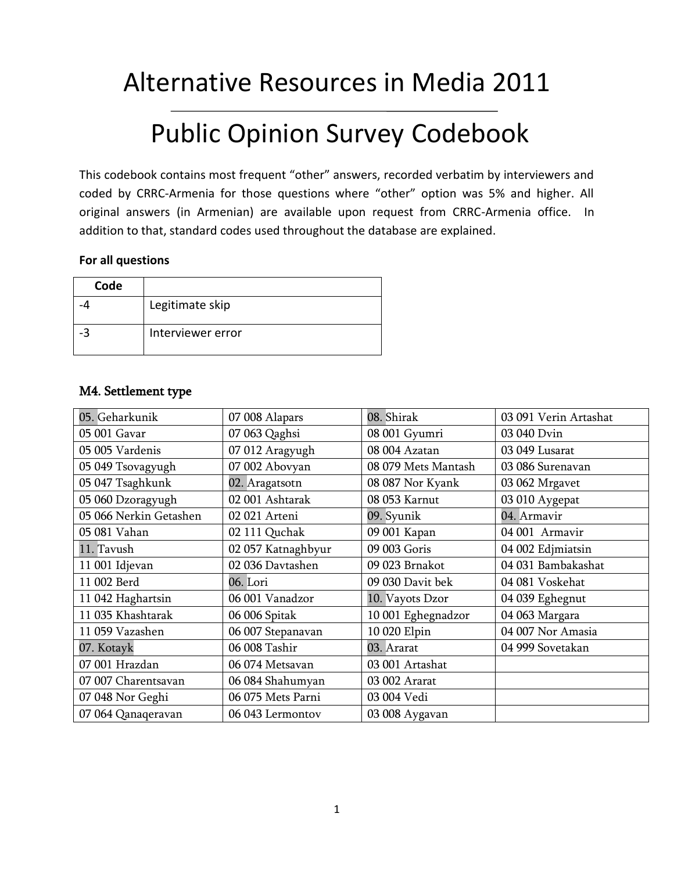# Alternative Resources in Media 2011

# Public Opinion Survey Codebook

This codebook contains most frequent "other" answers, recorded verbatim by interviewers and coded by CRRC-Armenia for those questions where "other" option was 5% and higher. All original answers (in Armenian) are available upon request from CRRC-Armenia office. In addition to that, standard codes used throughout the database are explained.

#### **For all questions**

| Code |                   |
|------|-------------------|
|      | Legitimate skip   |
|      | Interviewer error |

### M4. Settlement type

| 05. Geharkunik         | 07 008 Alapars     | 08. Shirak          | 03 091 Verin Artashat |
|------------------------|--------------------|---------------------|-----------------------|
| 05 001 Gavar           | 07 063 Qaghsi      | 08 001 Gyumri       | 03 040 Dvin           |
| 05 005 Vardenis        | 07 012 Aragyugh    | 08 004 Azatan       | 03 049 Lusarat        |
| 05 049 Tsovagyugh      | 07 002 Abovyan     | 08 079 Mets Mantash | 03 086 Surenavan      |
| 05 047 Tsaghkunk       | 02. Aragatsotn     | 08 087 Nor Kyank    | 03 062 Mrgavet        |
| 05 060 Dzoragyugh      | 02 001 Ashtarak    | 08 053 Karnut       | 03 010 Aygepat        |
| 05 066 Nerkin Getashen | 02 021 Arteni      | 09. Syunik          | 04. Armavir           |
| 05 081 Vahan           | 02 111 Quchak      | 09 001 Kapan        | 04 001 Armavir        |
| 11. Tavush             | 02 057 Katnaghbyur | 09 003 Goris        | 04 002 Edjmiatsin     |
| 11 001 Idjevan         | 02 036 Davtashen   | 09 023 Brnakot      | 04 031 Bambakashat    |
| 11 002 Berd            | 06. Lori           | 09 030 Davit bek    | 04 081 Voskehat       |
| 11 042 Haghartsin      | 06 001 Vanadzor    | 10. Vayots Dzor     | 04 039 Eghegnut       |
| 11 035 Khashtarak      | 06 006 Spitak      | 10 001 Eghegnadzor  | 04 063 Margara        |
| 11 059 Vazashen        | 06 007 Stepanavan  | 10 020 Elpin        | 04 007 Nor Amasia     |
| 07. Kotayk             | 06 008 Tashir      | 03. Ararat          | 04 999 Sovetakan      |
| 07 001 Hrazdan         | 06 074 Metsavan    | 03 001 Artashat     |                       |
| 07 007 Charentsavan    | 06 084 Shahumyan   | 03 002 Ararat       |                       |
| 07 048 Nor Geghi       | 06 075 Mets Parni  | 03 004 Vedi         |                       |
| 07 064 Qanaqeravan     | 06 043 Lermontov   | 03 008 Aygavan      |                       |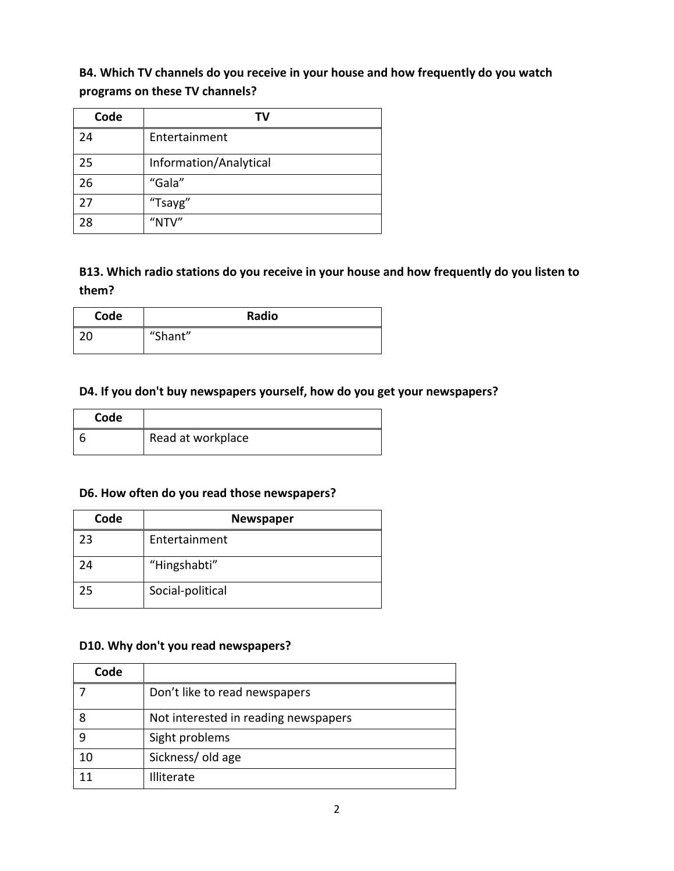## **B4. Which TV channels do you receive in your house and how frequently do you watch programs on these TV channels?**

| Code | ΤV                     |
|------|------------------------|
| 24   | Entertainment          |
| 25   | Information/Analytical |
| 26   | "Gala"                 |
| 27   | "Tsayg"                |
| 28   | "NTV"                  |

## **B13. Which radio stations do you receive in your house and how frequently do you listen to them?**

| Code | Radio   |
|------|---------|
| ົາດ  | "Shant" |

#### **D4. If you don't buy newspapers yourself, how do you get your newspapers?**

| Code |                   |
|------|-------------------|
|      | Read at workplace |

### **D6. How often do you read those newspapers?**

| Code | <b>Newspaper</b> |
|------|------------------|
| 23   | Entertainment    |
| 24   | "Hingshabti"     |
| 25   | Social-political |

#### **D10. Why don't you read newspapers?**

| Code |                                      |
|------|--------------------------------------|
|      | Don't like to read newspapers        |
|      | Not interested in reading newspapers |
|      | Sight problems                       |
| 10   | Sickness/old age                     |
| 11   | <b>Illiterate</b>                    |